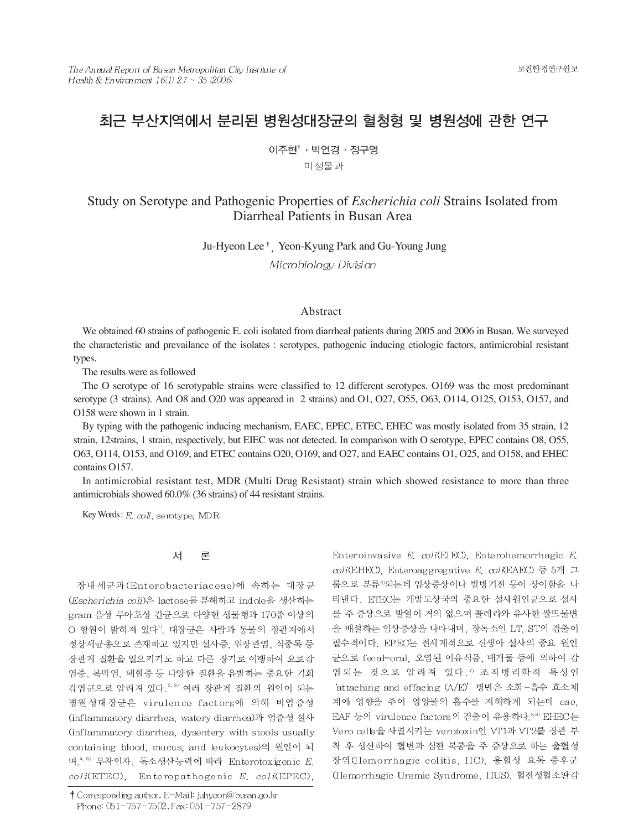# 최근 부산지역에서 분리된 병원성대장균의 혈청형 및 병원성에 관한 연구

이주현<sup>↑</sup> 박연경 · 정구영

미 생물과

## Study on Serotype and Pathogenic Properties of *Escherichia coli* Strains Isolated from Diarrheal Patients in Busan Area

Ju-Hyeon Lee<sup>†</sup> Yeon-Kyung Park and Gu-Young Jung

Microbiology Division

#### Abstract

We obtained 60 strains of pathogenic E. coli isolated from diarrheal patients during 2005 and 2006 in Busan. We surveyed the characteristic and prevailance of the isolates : serotypes, pathogenic inducing etiologic factors, antimicrobial resistant types.

The results were as followed

The O serotype of 16 serotypable strains were classified to 12 different serotypes. O169 was the most predominant serotype (3 strains). And O8 and O20 was appeared in 2 strains) and O1, O27, O55, O63, O114, O125, O153, O157, and O158 were shown in 1 strain.

By typing with the pathogenic inducing mechanism, EAEC, EPEC, ETEC, EHEC was mostly isolated from 35 strain, 12 strain, 12strains, 1 strain, respectively, but EIEC was not detected. In comparison with O serotype, EPEC contains O8, O55, O63, O114, O153, and O169, and ETEC contains O20, O169, and O27, and EAEC contains O1, O25, and O158, and EHEC contains O157.

In antimicrobial resistant test, MDR (Multi Drug Resistant) strain which showed resistance to more than three antimicrobials showed 60.0% (36 strains) of 44 resistant strains.

Key Words:  $E$ ,  $\text{co}I$ , serotype, MDR

#### 서 론

장내세균과 (Enterobacteriaceae)에 속하는 대장균 (Escherichia coli)은 lactose를 분해하고 indole을 생산하는 gram 음성 무아포성 간균으로 다양한 생물형과 170종 이상의 O 항원이 밝혀져 있다<sup>1</sup>. 대장균은 사람과 동물의 장관계에서 정상세균총으로 존재하고 있지만 설사증, 위장관염, 식중독 등 장관계 질환을 일으키기도 하고 다른 장기로 이행하여 요로감 염증, 복막염, 패혈증 등 다양한 질환을 유발하는 중요한 기회 감염균으로 알려져 있다. 2, 3) 여러 장관계 질환의 원인이 되는 병원성대장균은 virulence factors에 의해 비염증성 (inflammatory diarrhea, watery diarrhea)과 염증성 설사 (inflammatory diarrhea, dysentery with stools usually containing blood, mucus, and leukocytes)의 원인이 되 며, 4, 5) 부착인자, 독소생산능력에 따라 Enterotoxigenic E.  $coli(ETEC)$ , Enteropathogenic E.  $coli(EPEC)$ ,

Enteroinvasive  $E.$   $\text{coli}(\text{EIEC})$ , Enterohemorrhagic  $E.$  $col$ (EHEC), Enteroaggregative E.  $col$ (EAEC) 등 5개 그 룹으로 분류<sup>6</sup>되는데 임상증상이나 발병기전 등이 상이함을 나 타낸다. ETEC는 개발도상국의 중요한 설사원인균으로 설사 를 주 증상으로 발열이 거의 없으며 콜레라와 유사한 쌀뜨물변 을 배설하는 임상증상을 나타내며, 장독소인 LT, ST의 검출이 필수적이다. EPEC는 전세계적으로 신생아 설사의 중요 원인 균으로 fecal-oral, 오염된 이유식품, 매개물 등에 의하여 감 염되는 것으로 알려져 있다. " 조직병리학적 특성인 'attaching and effacing (A/E)' 병변은 소화-흡수 효소체 계에 영향을 주어 영양물의 흡수를 저해하게 되는데 eae, EAF 등의 virulence factors의 검출이 유용하다.<sup>8,9)</sup> EHEC는 Vero cells을 사멸시키는 verotoxin인 VT1과 VT2를 장관 부 착 후 생산하여 혈변과 심한 복통을 주 증상으로 하는 출혈성 장염(Hemorrhagic colitis, HC), 용혈성 요독 증후군 (Hemorrhagic Uremic Syndrome, HUS), 혈전성혈소판감

<sup>†</sup> Corresponding author. E-Mail: juhyeon@busan.go.kr Phone: 051-757-7502, Fax: 051-757-2879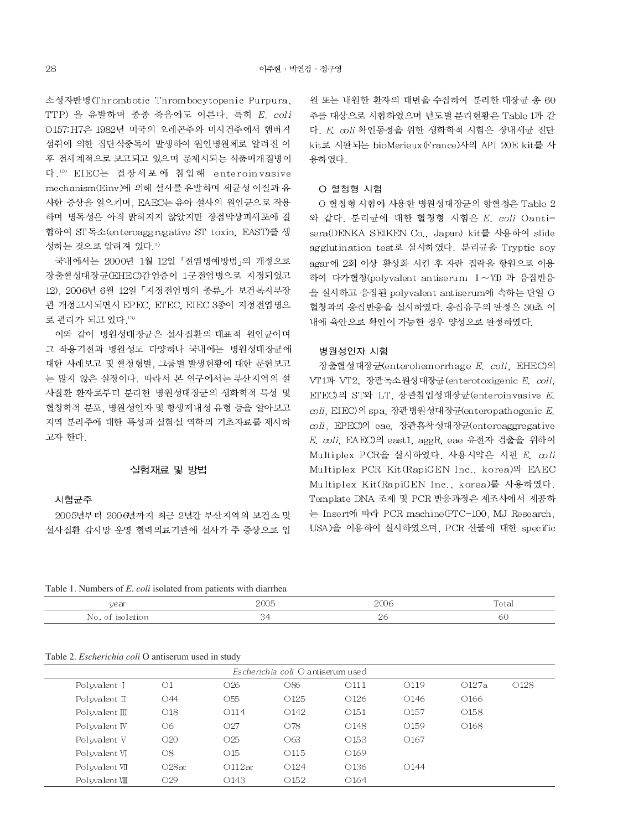소성자반병(Thrombotic Thrombocytopenic Purpura, TTP) 을 유발하며 종종 죽음에도 이른다. 특히  $E$ . coli O157: H7은 1982년 미국의 오레곤주와 미시건주에서 햄버거 섭취에 의한 집단식중독이 발생하여 원인병원체로 알려진 이 후 전세계적으로 보고되고 있으며 문제시되는 식품매개질병이 다.10) EIEC는 결장세포에 침입해 enteroinvasive mechanism(Einv)에 의해 설사를 유발하며 세균성 이질과 유 사한 증상을 일으키며, EAEC는 유아 설사의 원인균으로 작용 하며 병독성은 아직 밝혀지지 않았지만 장점막상피세포에 결 합하여 ST 독소(enteroaggregative ST toxin, EAST)를 생 성하는 것으로 알려져 있다 11)

국내에서는 2000년 1월 12일 「전염병예방법」의 개정으로 장출혈성대장균(EHEC)감염증이 1군전염병으로 지정되었고 12). 2006년 6월 12일 「지정전염병의 종류」가 보건복지부장 관 개정고시되면서 EPEC, ETEC, EIEC 3종이 지정전염병으 로 관리가 되고 있다.13)

이와 같이 병원성대장균은 설사질환의 대표적 원인균이며 그 작용기전과 병원성도 다양하나 국내에는 병원성대장균에 대한 사례보고 및 혈청형별, 그룹별 발생현황에 대한 문헌보고 는 많지 않은 실정이다. 따라서 본 연구에서는 부산지역의 설 사질환 환자로부터 분리한 병원성대장균의 생화학적 특성 및 혈청학적 분포, 병원성인자 및 항생제내성 유형 등을 알아보고 지역 분리주에 대한 특성과 실험실 역학의 기초자료를 제시하 고자 한다.

### 실험재료 및 방법

시험균주

2005년부터 2006년까지 최근 2년간 부산지역의 보건소 및 설사질환 감시망 운영 협력의료기관에 설사가 주 증상으로 입

원 또는 내원한 환자의 대변을 수집하여 분리한 대장균 총 60 주를 대상으로 시험하였으며 년도별 분리현황은 Table 1과 같 다. E. coli 확인동정을 위한 생화학적 시험은 장내세균 진단 kit로 시판되는 bioMerieux (France)사의 API 20E kit를 사 용하였다.

#### O 혈청형 시험

O 혈청형 시험에 사용한 병원성대장균의 항혈청은 Table 2 와 같다. 분리균에 대한 혈청형 시험은 E. coli Oantisera(DENKA SEIKEN Co., Japan) kit를 사용하여 slide agglutination test로 실시하였다. 분리균을 Tryptic soy agar에 2회 이상 활성화 시킨 후 자란 집락을 항원으로 이용 하여 다가혈청(polyvalent antiserum I~VII) 과 응집반응 을 실시하고 응집된 polyvalent antiserum에 속하는 단일 O 혈청과의 응집반응을 실시하였다. 응집유무의 판정은 30초 이 내에 육안으로 확인이 가능한 경우 양성으로 판정하였다.

### 병원성인자 시험

장출혈성대장균(enterohemorrhage E. coli, EHEC)의 VT1과 VT2, 장관독소원성대장균 (enterotoxigenic E. coli, ETEC)의 ST와 LT, 장관침입성대장균 (enteroinvasive E. coli, EIEC)의 spa, 장관병원성대장균(enteropathogenic E. coli, EPEC)의 eae, 장관흡착성대장균(enteroaggregative E. coli. EAEC)의 east1. aggR. eae 유전자 검출을 위하여 Multiplex PCR을 실시하였다. 사용시약은 시판 E. coli Multiplex PCR Kit (RapiGEN Inc., korea)와 EAEC Multiplex Kit(RapiGEN Inc., korea)를 사용하였다. Template DNA 조제 및 PCR 반응과정은 제조사에서 제공하 는 Insert에 따라 PCR machine(PTC-100, MJ Research, USA)을 이용하여 실시하였으며, PCR 산물에 대한 specific

Table 1. Numbers of E. coli isolated from patients with diarrhea

| year | ז ה   | 200 <sub>6</sub> | Total  |
|------|-------|------------------|--------|
|      | _____ | _____            | ______ |
| Nn   | . .   | $\sim$           | าเ     |

#### Table 2. Escherichia coli O antiserum used in study

| $Esche richia coli$ O antiserum used |                 |                  |                  |                  |                  |                  |                  |
|--------------------------------------|-----------------|------------------|------------------|------------------|------------------|------------------|------------------|
| Polyvalent I                         | O <sub>1</sub>  | O <sub>26</sub>  | O86              | O <sub>111</sub> | O119             | O127a            | O <sub>128</sub> |
| Pol $w$ alent $\Pi$                  | O44             | O <sub>55</sub>  | O <sub>125</sub> | O <sub>126</sub> | O <sub>146</sub> | 0166             |                  |
| Polyvalent $\Pi$                     | O <sub>18</sub> | O <sub>114</sub> | O142             | O <sub>151</sub> | O <sub>157</sub> | O <sub>158</sub> |                  |
| Pol walent IV                        | O6              | O <sub>27</sub>  | O78              | O <sub>148</sub> | O <sub>159</sub> | O <sub>168</sub> |                  |
| Polyvalent V                         | O20             | O <sub>25</sub>  | O63              | O <sub>153</sub> | O <sub>167</sub> |                  |                  |
| Polyvalent VI                        | $\circ$         | $\bigcirc$ 15    | O <sub>115</sub> | O <sub>169</sub> |                  |                  |                  |
| Polvvalent VII                       | O28ac           | O112ac           | O <sub>124</sub> | O <sub>136</sub> | O <sub>144</sub> |                  |                  |
| Polyvalent VIII                      | O <sub>29</sub> | O <sub>143</sub> | O <sub>152</sub> | O <sub>164</sub> |                  |                  |                  |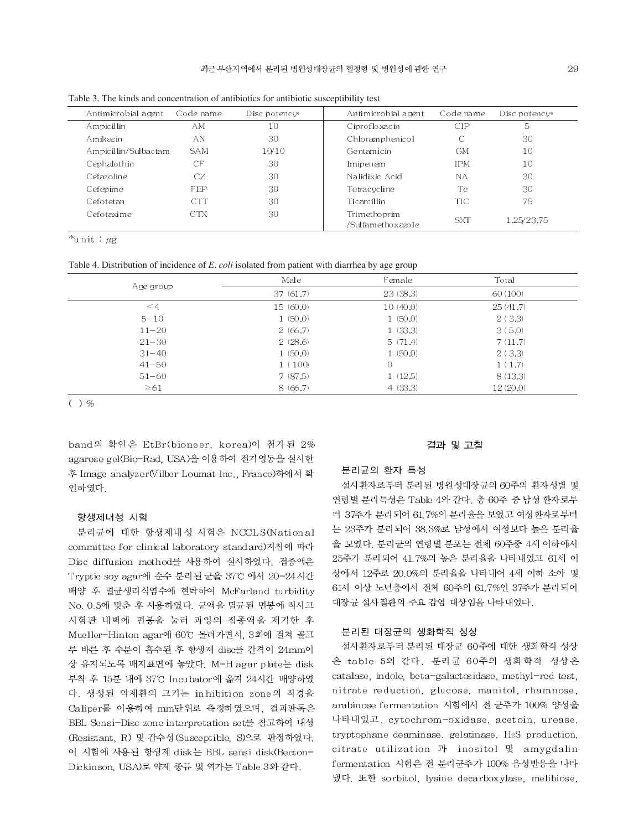| Antimicrobial agent  | Code name  | Disc potency $*$ | Antimicrobial agent                  | Code name  | Disc potency $*$ |
|----------------------|------------|------------------|--------------------------------------|------------|------------------|
| Ampicillin           | AМ         | 10               | Ciprofloxacin                        | CIP        | 5                |
| Amikacin             | AN         | 30               | Chloramphenicol                      | С          | 30               |
| Ampicillin/Sulbactam | <b>SAM</b> | 10/10            | Gentamicin                           | <b>GM</b>  | 10               |
| Cephalothin          | СF         | 30               | Imipenem                             | <b>IPM</b> | 10               |
| Cefazoline           | CZ         | 30               | Nalidixic Acid                       | <b>NA</b>  | 30               |
| Cefepime             | FEP        | 30               | Tetracycline                         | Te         | 30               |
| Cefotetan            | CTT        | 30               | Ticarcillin                          | TIC        | 75               |
| Cefotaxime           | <b>CTX</b> | 30               | Trimethoprim<br>/Sulfametho x azo le | <b>SXT</b> | 1.25/23.75       |

Table 3. The kinds and concentration of antibiotics for antibiotic susceptibility test

\*unit :  $\mu$ g

Table 4. Distribution of incidence of E. coli isolated from patient with diarrhea by age group

| Age group | Male     | Female   | Total    |
|-----------|----------|----------|----------|
|           | 37(61.7) | 23(38.3) | 60(100)  |
| $\leq 4$  | 15(60,0) | 10(40.0) | 25(41.7) |
| $5 - 10$  | 1(50,0)  | 1(50,0)  | 2(3,3)   |
| $11 - 20$ | 2(66.7)  | 1(33.3)  | 3(5.0)   |
| $21 - 30$ | 2(28.6)  | 5(71.4)  | 7(11.7)  |
| $31 - 40$ | 1(50,0)  | 1(50.0)  | 2(3,3)   |
| $41 - 50$ | 1(100)   | $\circ$  | 1(1.7)   |
| $51 - 60$ | 7(87.5)  | 1(12.5)  | 8(13.3)  |
| $\geq 61$ | 8(66.7)  | 4(33.3)  | 12(20,0) |

 $()$  %

band의 확인은 EtBr(bioneer, korea)이 첨가된 2% agarose gel(Bio-Rad, USA)을 이용하여 전기영동을 실시한 후 Image analyzer(Vilber Loumat lnc., France)하에서 확 인하였다.

#### 항생제내성 시험

분리균에 대한 항생제내성 시험은 NCCLS(National committee for clinical laboratory standard)지침에 따라 Disc diffusion method를 사용하여 실시하였다. 접종액은 Tryptic soy agar에 순수 분리된 균을 37°C 에서 20-24시간 배양 후 멸균생리식염수에 현탁하여 McFarland turbidity No. 0.5에 맞춘 후 사용하였다. 균액을 멸균된 면봉에 적시고 시험관 내벽에 면봉을 눌러 과잉의 접종액을 제거한 후 Mueller-Hinton agar에 60℃ 돌려가면서, 3회에 걸쳐 골고 루 바른 후 수분이 흡수된 후 항생제 disc를 간격이 24mm이 상 유지되도록 배지표면에 놓았다. M-H agar plate는 disk 부착 후 15분 내에 37°C Incubator에 옮겨 24시간 배양하였 다. 생성된 억제환의 크기는 inhibition zone의 직경을 Caliper를 이용하여 mm단위로 측정하였으며, 결과판독은 BBL Sensi-Disc zone interpretation set를 참고하여 내성 (Resistant, R) 및 감수성 (Susceptible, S)으로 판정하였다. 이 시험에 사용된 항생제 disk는 BBL sensi disk(Becton-Dickinson, USA)로 약제 종류 및 역가는 Table 3와 같다.

#### 결과 및 고찰

#### 분리균의 환자 특성

설사환자로부터 분리된 병원성대장균의 60주의 환자성별 및 연령별 분리특성은 Table 4와 같다. 총 60주 중 남성 환자로부 터 37주가 분리되어 61.7%의 분리율을 보였고 여성환자로부터 는 23주가 분리되어 38.3%로 남성에서 여성보다 높은 분리율 을 보였다. 분리균의 연령별 분포는 전체 60주중 4세 이하에서 25주가 분리되어 41.7%의 높은 분리율을 나타내었고 61세 이 상에서 12주로 20.0%의 분리율을 나타내어 4세 이하 소아 및 61세 이상 노년층에서 전체 60주의 61.7%인 37주가 분리되어 대장균 설사질환의 주요 감염 대상임을 나타내었다.

#### 분리된 대장균의 생화학적 성상

설사환자로부터 분리된 대장균 60주에 대한 생화학적 성상 은 table 5와 같다. 분리균 60주의 생화학적 성상은 catalase, indole, beta-galactosidase, methyl-red test, nitrate reduction, glucose, manitol, rhamnose, arabinose fermentation 시험에서 전 균주가 100% 양성을 나타내었고, cytochrom-oxidase, acetoin, urease, tryptophane deaminase, gelatinase, H2S production, citrate utilization 과 inositol 및 amygdalin fermentation 시험은 전 분리균주가 100% 음성반응을 나타 냈다. 또한 sorbitol, lysine decarboxylase, melibiose,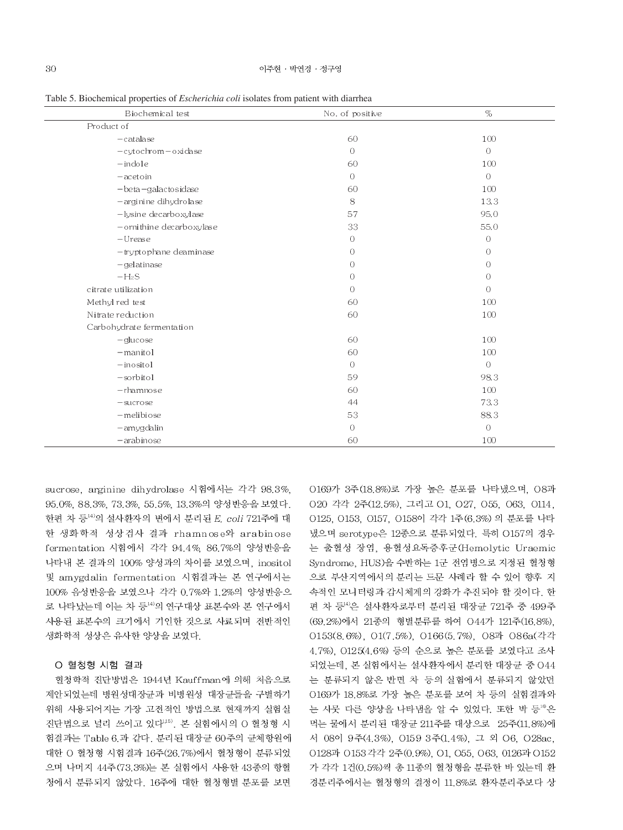Table 5. Biochemical properties of *Escherichia coli* isolates from patient with diarrhea

| Biochemical test          | $\mathbf{r}$<br>No. of positive | $\%$           |
|---------------------------|---------------------------------|----------------|
| Product of                |                                 |                |
| $-catalog$                | 60                              | 100            |
| -cytochrom-oxidase        | $\overline{O}$                  | $\circ$        |
| $-$ indole                | 60                              | 100            |
| $-\arctan$                | $\overline{0}$                  | $\overline{O}$ |
| $-beta-galactosidase$     | 60                              | 100            |
| -arginine dihydrolase     | 8                               | 13.3           |
| -lysine decarboxylase     | 57                              | 95.0           |
| -ornithine decarboxylase  | 33                              | 55.0           |
| $-U$ rease                | $\bigcirc$                      | $\circ$        |
| -tryptophane deaminase    | $\overline{O}$                  | $\circ$        |
| $-gelatinase$             | $\circ$                         | $\bigcirc$     |
| $-H2S$                    | $\overline{O}$                  | $\overline{O}$ |
| citrate utilization       | $\bigcirc$                      | $\bigcirc$     |
| Methyl red test           | 60                              | 100            |
| Nitrate reduction         | 60                              | 100            |
| Carbohydrate fermentation |                                 |                |
| $-glu\cos e$              | 60                              | 100            |
| $-mantol$                 | 60                              | 100            |
| $-$ inositol              | $\bigcirc$                      | $\bigcirc$     |
| $-sorbitol$               | 59                              | 98.3           |
| $-r$ hamnose              | 60                              | 100            |
| $-$ sucrose               | 44                              | 73.3           |
| -melibiose                | 53                              | 88.3           |
| -amygdalin                | $\overline{O}$                  | $\overline{O}$ |
| $-$ arabinose             | 60                              | 100            |

sucrose, arginine dihydrolase 시험에서는 각각 98.3%, 95.0%, 88.3%, 73.3%, 55.5%, 13.3%의 양성반응을 보였다. 한편 차 등<sup>14)</sup>의 설사환자의 변에서 분리된 E. coli 721주에 대 한 생화학적 성상검사 결과 rhamnose와 arabinose fermentation 시험에서 각각 94.4% 86.7%의 양성반응을 나타내 본 결과의 100% 양성과의 차이를 보였으며, inositol 및 amygdalin fermentation 시험결과는 본 연구에서는 100% 음성반응을 보였으나 각각 0.7%와 1.2%의 양성반응으 로 나타났는데 이는 차 등<sup>14)</sup>의 연구대상 표본수와 본 연구에서 사용된 표본수의 크기에서 기인한 것으로 사료되며 전반적인 생화학적 성상은 유사한 양상을 보였다.

### O 혈청형 시험 결과

혈청학적 진단방법은 1944년 Kauffman에 의해 처음으로 제안되었는데 병원성대장균과 비병원성 대장균들을 구별하기 위해 사용되어지는 가장 고전적인 방법으로 현재까지 실험실 진단법으로 널리 쓰이고 있다<sup>1,5)</sup>. 본 실험에서의 O 혈청형 시 험결과는 Table 6 과 같다. 분리된 대장균 60주의 균체항원에 대한 O 혈청형 시험결과 16주(26.7%)에서 혈청형이 분류되었 으며 나머지 44주(73.3%)는 본 실험에서 사용한 43종의 항혈 청에서 분류되지 않았다. 16주에 대한 혈청형별 분포를 보면 0169가 3주(18.8%)로 가장 높은 분포를 나타냈으며, 08과 020 각각 2주(12.5%), 그리고 01, 027, 055, 063, 0114, 0125, 0153, 0157, 0158이 각각 1주(6.3%) 의 분포를 나타 냈으며 serotype은 12종으로 분류되었다. 특히 O157의 경우 는 출혈성 장염, 용혈성요독증후군(Hemolytic Uraemic Syndrome, HUS)을 수반하는 1군 전염병으로 지정된 혈청형 으로 부산지역에서의 분리는 드문 사례라 할 수 있어 향후 지 속적인 모니터링과 감시체계의 강화가 추진되야 할 것이다. 한 편 차 등<sup>14)</sup>은 설사환자로부터 분리된 대장균 721주 중 499주 (69.2%)에서 21종의 형별분류를 하여 O44가 121주(16.8%). O153(8.6%), O1(7.5%), O166(5.7%), O8과 O86a(각각 4.7%). 0125(4.6%) 등의 순으로 높은 분포를 보였다고 조사 되었는데, 본 실험에서는 설사환자에서 분리한 대장균 중 044 는 분류되지 않은 반면 차 등의 실험에서 분류되지 않았던 0169가 18.8%로 가장 높은 분포를 보여 차 등의 실험결과와 는 사뭇 다른 양상을 나타냄을 알 수 있었다. 또한 박 등 <sup>®</sup>은 먹는 물에서 분리된 대장균 211주를 대상으로 25주(11.8%)에 서 08이 9주(4.3%), 0159 3주(1.4%), 그 외 06, 028ac. 0128과 0153 각각 2주(0.9%), 01, 055, 063, 0126과 0152 가 각각 1건(0.5%)씩 총 11종의 혈청형을 분류한 바 있는데 환 경분리주에서는 혈청형의 결정이 11.8%로 환자분리주보다 상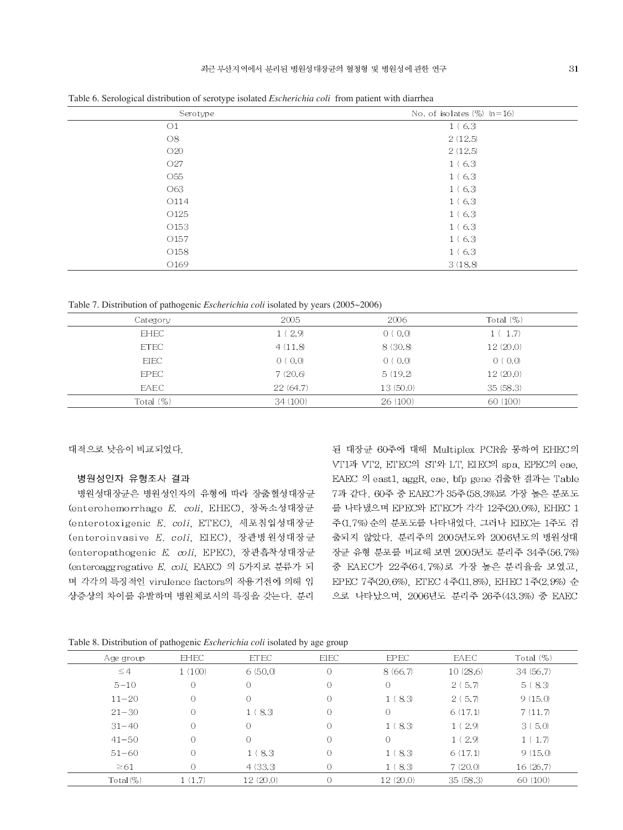| $\tilde{\phantom{a}}$<br>$\sim$ 1 | $\mathbf{r}$                    |
|-----------------------------------|---------------------------------|
| Serotype                          | No. of isolates $(\%)$ $(n=16)$ |
| O <sub>1</sub>                    | 1(6,3)                          |
| O8                                | 2(12.5)                         |
| O20                               | 2(12.5)                         |
| O <sub>27</sub>                   | 1(6,3)                          |
| O55                               | 1(6,3)                          |
| O63                               | 1(6,3)                          |
| O114                              | 1(6,3)                          |
| O <sub>125</sub>                  | 1(6,3)                          |
| O <sub>153</sub>                  | 1(6,3)                          |
| O <sub>157</sub>                  | 1(6,3)                          |
| O <sub>158</sub>                  | 1(6,3)                          |
| O <sub>169</sub>                  | 3(18.8)                         |
|                                   |                                 |

Table 6. Serological distribution of serotype isolated *Escherichia coli* from patient with diarrhea

Table 7. Distribution of pathogenic *Escherichia coli* isolated by years (2005~2006)

| Category     | 2005     | 2006     | Total $(\%)$ |  |
|--------------|----------|----------|--------------|--|
| <b>EHEC</b>  | 1(2.9)   | 0(0,0)   | 1(1.7)       |  |
| <b>ETEC</b>  | 4(11.8)  | 8 (30.8) | 12(20,0)     |  |
| <b>EIEC</b>  | 0(0,0)   | 0(0,0)   | 0(0,0)       |  |
| <b>EPEC</b>  | 7(20.6)  | 5(19.2)  | 12(20.0)     |  |
| <b>FAEC</b>  | 22(64.7) | 13(50.0) | 35(58.3)     |  |
| Total $(\%)$ | 34(100)  | 26(100)  | 60(100)      |  |

대적으로 낮음이 비교되었다.

#### 병원성인자 유형조사 결과

병원성대장균은 병원성인자의 유형에 따라 장출혈성대장균 (enterohemorrhage E. coli, EHEC), 장독소성대장균 (enterotoxigenic E. coli, ETEC), 세포침입성대장균 (enteroinvasive E. coli, EIEC), 장관병원성대장균 (enteropathogenic E. coli, EPEC), 장관흡착성대장균 (enteroaggregative E. coli, EAEC) 의 5가지로 분류가 되 며 각각의 특징적인 virulence factors의 작용기전에 의해 임 상증상의 차이를 유발하며 병원체로서의 특징을 갖는다. 분리 된 대장균 60주에 대해 Multiplex PCR을 통하여 EHEC의 VT1과 VT2, ETEC의 ST와 LT, EIEC의 spa, EPEC의 eae, EAEC 의 east1, aggR, eae, bfp gene 검출한 결과는 Table 7과 같다. 60주 중 EAEC가 35주(58.3%)로 가장 높은 분포도 를 나타냈으며 EPEC와 ETEC가 각각 12주(20.0%), EHEC 1 주(1.7%) 순의 분포도를 나타내었다. 그러나 EIEC는 1주도 검 출되지 않았다. 분리주의 2005년도와 2006년도의 병원성대 장균 유형 분포를 비교해 보면 2005년도 분리주 34주(56.7%) 중 EAEC가 22주(64.7%)로 가장 높은 분리율을 보였고, EPEC 7주(20.6%). ETEC 4주(11.8%). EHEC 1주(2.9%) 순 으로 나타났으며, 2006년도 분리주 26주(43.3%) 중 EAEC

Table 8. Distribution of pathogenic *Escherichia coli* isolated by age group

| Age group | <b>EHEC</b>    | <b>ETEC</b>    | <b>EIEC</b>    | <b>EPEC</b> | EAEC     | Total $(\%)$ |
|-----------|----------------|----------------|----------------|-------------|----------|--------------|
| $\leq 4$  | 1(100)         | 6(50,0)        | $\overline{0}$ | 8(66,7)     | 10(28.6) | 34(56.7)     |
| $5 - 10$  | $\circ$        | $\circ$        | $\overline{O}$ | $\Omega$    | 2(5.7)   | 5(8,3)       |
| $11 - 20$ | $\circ$        | $\overline{O}$ | $\overline{O}$ | 1(8,3)      | 2(5,7)   | 9(15,0)      |
| $21 - 30$ | $\overline{0}$ | 1(8.3)         | $\overline{0}$ | 0           | 6(17,1)  | 7(11.7)      |
| $31 - 40$ | $\circ$        | $\bigcirc$     | 0              | 1(8,3)      | 1(2,9)   | 3(5,0)       |
| $41 - 50$ | $\circ$        | $\circ$        | $\overline{O}$ | $\bigcirc$  | 1(2,9)   | 1(1.7)       |
| $51 - 60$ | $\overline{0}$ | 1(8,3)         | 0              | 1(8,3)      | 6(17,1)  | 9(15,0)      |
| $\geq 61$ | $\Omega$       | 4(33.3)        | $\bigcirc$     | 1(8,3)      | 7(20,0)  | 16(26.7)     |
| $Total\%$ | 1(1.7)         | 12(20,0)       | 0              | 12(20.0)    | 35(58.3) | 60(100)      |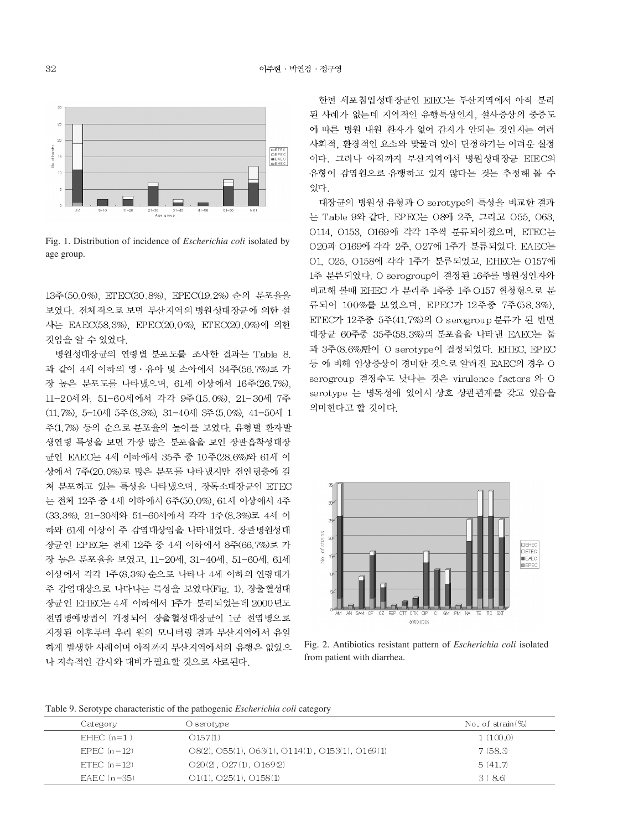

Fig. 1. Distribution of incidence of *Escherichia coli* isolated by age group.

13주(50.0%) ETEC(30.8%) EPEC(19.2%) 순의 분포율을 보였다. 전체적으로 보면 부산지역의 병원성대장균에 의한 설 사는 EAEC(58.3%), EPEC(20.0%), ETEC(20.0%)에 의한 것임을 알 수 있었다.

병원성대장균의 연령별 분포도를 조사한 결과는 Table 8. 과 같이 4세 이하의 영 · 유아 및 소아에서 34주(56.7%)로 가 장 높은 분포도를 나타냈으며, 61세 이상에서 16주(26.7%). 11-20세와, 51-60세에서 각각 9주(15.0%), 21-30세 7주 (11.7%), 5-10세 5주(8.3%), 31-40세 3주(5.0%), 41-50세 1 주(1.7%) 등의 순으로 분포율의 높이를 보였다. 유형별 환자발 생연령 특성을 보면 가장 많은 분포율을 보인 장관흡착성대장 균인 EAEC는 4세 이하에서 35주 중 10주(28.6%)와 61세 이 상에서 7주(20.0%)로 많은 분포를 나타냈지만 전연령층에 걸 쳐 분포하고 있는 특성을 나타냈으며, 장독소대장균인 ETEC 는 전체 12주 중 4세 이하에서 6주(50.0%). 61세 이상에서 4주 (33.3%), 21-30세와 51-60세에서 각각 1주(8.3%)로 4세 이 하와 61세 이상이 주 감염대상임을 나타내었다. 장관병원성대 장균인 EPEC는 전체 12주 중 4세 이하에서 8주(66.7%)로 가 장 높은 분포율을 보였고, 11-20세, 31-40세, 51-60세, 61세 이상에서 각각 1주(8.3%) 순으로 나타나 4세 이하의 연령대가 주 감염대상으로 나타나는 특성을 보였다(Fig. 1). 장출혈성대 장균인 EHEC는 4세 이하에서 1주가 분리되었는데 2000년도 전염병예방법이 개정되어 장출혈성대장균이 1군 전염병으로 지정된 이후부터 우리 원의 모니터링 결과 부산지역에서 유일 하게 발생한 사례이며 아직까지 부산지역에서의 유행은 없었으 나 지속적인 감시와 대비가 필요할 것으로 사료된다.

한편 세포침입성대장균인 EIEC는 부산지역에서 아직 분리 된 사례가 없는데 지역적인 유행특성인지, 설사증상의 중증도 에 따른 병원 내원 환자가 없어 감지가 안되는 것인지는 여러 사회적, 환경적인 요소와 맞물려 있어 단정하기는 어려운 실정 이다. 그러나 아직까지 부산지역에서 병원성대장균 EIEC의 유형이 감염원으로 유행하고 있지 않다는 것는 추정해 볼 수 있다.

대장균의 병원성 유형과 O serotype의 특성을 비교한 결과 는 Table 9와 같다. EPEC는 O8에 2주, 그리고 O55, O63, 0114, 0153, 0169에 각각 1주씩 분류되어졌으며, ETEC는 O20과 O169에 각각 2주, O27에 1주가 분류되었다. EAEC는 O1, O25, O158에 각각 1주가 분류되었고, EHEC는 O157에 1주 분류되었다. O serogroup이 결정된 16주를 병원성인자와 비교해 볼때 EHEC 가 분리주 1주중 1주 O157 혈청형으로 분 류되어 100%를 보였으며, EPEC가 12주중 7주(58.3%). ETEC가 12주중 5주(41.7%)의 O serogroup 분류가 된 반면 대장균 60주중 35주(58.3%)의 분포율을 나타낸 EAEC는 불 과 3주(8.6%)만이 O serotype이 결정되었다. EHEC, EPEC 등 에 비해 임상증상이 경미한 것으로 알려진 EAEC의 경우 O serogroup 결정수도 낮다는 것은 virulence factors 와 O serotype 는 병독성에 있어서 상호 상관관계를 갖고 있음을 의미한다고 할 것이다.



Fig. 2. Antibiotics resistant pattern of *Escherichia coli* isolated from patient with diarrhea.

Table 9. Serotype characteristic of the pathogenic *Escherichia coli* category

| Category      | O serotype                                           | No. of $strain$ $\%$ |
|---------------|------------------------------------------------------|----------------------|
| $FHEC(n=1)$   | O157(1)                                              | 1(100.0)             |
| EPEC $(n=12)$ | $O(8(2), O55(1), O63(1), O114(1), O153(1), O169(1))$ | 7(58.3)              |
| ETEC $(n=12)$ | $O20(2)$ , $O27(1)$ , $O169(2)$                      | 5(41,7)              |
| EAEC $(n=35)$ | $O(11)$ , $O(25(1))$ , $O(158(1))$                   | 3(8.6)               |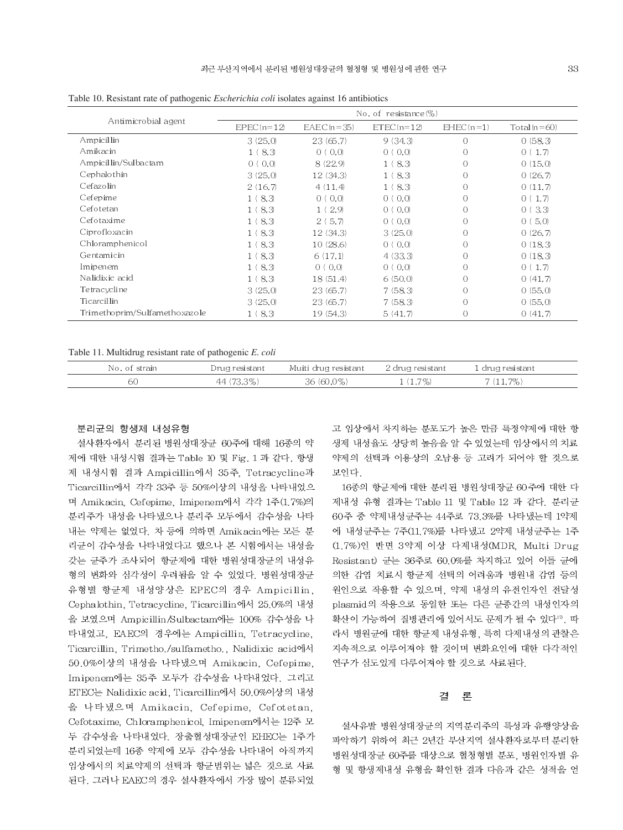| л.<br>$\circ$<br>O<br>No. of resistance $(\%)$ |                       |                   |                                     |                |                   |
|------------------------------------------------|-----------------------|-------------------|-------------------------------------|----------------|-------------------|
| Antimicrobial agent                            |                       |                   |                                     |                |                   |
|                                                | $EPEC(n=12)$          | $EAEC(n=35)$      | $ETEC(n=12)$                        | $EHEC(n=1)$    | Total $(n=60)$    |
| Ampicillin                                     | 3(25,0)               | 23(65.7)          | 9(34.3)                             | $\bigcirc$     | 0(58.3)           |
| Amikacin                                       | 1(8,3)                | 0(0.0)            | $\langle 0,0 \rangle$<br>$\Omega$ ( | $\bigcirc$     | 0(1,7)            |
| Ampicillin/Sulbactam                           | (0,0)<br>$\Omega$ (   | 8(22.9)           | 8.3                                 | $\bigcirc$     | 0(15,0)           |
| Cephalothin                                    | 3(25,0)               | 12(34.3)          | 8.3                                 | $\bigcirc$     | 0(26,7)           |
| Cefazolin                                      | 2(16,7)               | 4(11,4)           | 8.3                                 | $\bigcirc$     | 0(11.7)           |
| Cefepime                                       | 1(8,3)                | 0.0<br>$\Omega$ ( | (0,0)<br>$\Omega$ (                 | $\bigcirc$     | 0(1,7)            |
| Cefotetan                                      | 1(8,3)                | 2.9               | (0,0)<br>$\Omega$                   | $\bigcirc$     | 3.3<br>$\Omega$ ( |
| Cefotaxime                                     | 1(8,3)                | 5.7<br>2(         | 0(0,0)                              | $\bigcirc$     | 0(5,0)            |
| Ciprofloxacin                                  | 1(8.3)                | 12(34.3)          | 3(25,0)                             | $\overline{O}$ | 0(26,7)           |
| Chloramphenicol                                | 8.3<br>1 <sup>6</sup> | 10(28.6)          | 0(0,0)                              | 0              | 0(18.3)           |
| Gentamicin                                     | 1(8,3)                | 6(17,1)           | 4(33.3)                             | $\overline{O}$ | 0(18.3)           |
| Imipenem                                       | 1(8.3)                | 0(0,0)            | 0(0,0)                              | $\overline{O}$ | 0(1,7)            |
| Nalidixic acid                                 | 1(8.3)                | 18(51.4)          | 6(50,0)                             | $\bigcirc$     | 0(41,7)           |
| Tetracycline                                   | 3(25,0)               | 23(65.7)          | 7(58.3)                             | $\bigcirc$     | 0(55,0)           |
| Ticarcillin                                    | 3(25,0)               | 23(65.7)          | 7(58.3)                             | $\overline{O}$ | 0(55,0)           |
| Trimethoprim/Sulfamethoxazole                  | 1(8.3)                | 19 (54.3)         | 5(41,7)                             | 0              | 0(41,7)           |

Table 10. Resistant rate of pathogenic *Escherichia coli* isolates against 16 antibiotics

Table 11. Multidrug resistant rate of pathogenic E. coli

| No. of strain | Drug resistant |            |            | 1 drug resistant |  |
|---------------|----------------|------------|------------|------------------|--|
| 60            | 44 (73.3%)     | 36 (60.0%) | $1(1.7\%)$ | $7(11.7\%)$      |  |

#### 분리균의 항생제 내성유형

설사환자에서 분리된 병원성대장균 60주에 대해 16종의 약 제에 대한 내성시험 결과는 Table 10 및 Fig. 1 과 같다. 항생 제 내성시험 결과 Ampicillin에서 35주, Tetracycline과 Ticarcillin에서 각각 33주 등 50%이상의 내성을 나타내었으 며 Amikacin, Cefepime, Imipenem에서 각각 1주(1.7%)의 분리주가 내성을 나타냈으나 분리주 모두에서 감수성을 나타 내는 약제는 없었다. 차 등에 의하면 Amikacin에는 모든 분 리균이 감수성을 나타내었다고 했으나 본 시험에서는 내성을 갖는 균주가 조사되어 항균제에 대한 병원성대장균의 내성유 형의 변화와 심각성이 우려됨을 알 수 있었다. 병원성대장균 유형별 항균제 내성양상은 EPEC의 경우 Ampicillin, Cephalothin, Tetracycline, Ticarcillin에서 25.0%의 내성 을 보였으며 Ampicillin/Sulbactam에는 100% 감수성을 나 타내었고, EAEC의 경우에는 Ampicillin, Tetracycline, Ticarcillin, Trimetho./sulfametho., Nalidixic acid에서 50.0%이상의 내성을 나타냈으며 Amikacin, Cefepime, Imipenem에는 35주 모두가 감수성을 나타내었다. 그리고 ETEC는 Nalidixic acid, Ticarcillin에서 50.0%이상의 내성 을 나타냈으며 Amikacin, Cefepime, Cefotetan, Cefotaxime, Chloramphenicol Imipenem에서는 12주 모 두 감수성을 나타내었다. 장출혈성대장균인 EHEC는 1주가 분리되었는데 16종 약제에 모두 감수성을 나타내어 아직까지 임상에서의 치료약제의 선택과 항균범위는 넓은 것으로 사료 된다. 그러나 EAEC의 경우 설사환자에서 가장 많이 분류되었

고 임상에서 차지하는 분포도가 높은 만큼 특정약제에 대한 항 생제 내성율도 상당히 높음을 알 수 있었는데 임상에서의 치료 약제의 선택과 이용상의 오남용 등 고려가 되어야 할 것으로 보인다.

16종의 항균제에 대한 분리된 병원성대장균 60주에 대한 다 제내성 유형 결과는 Table 11 및 Table 12 과 같다. 분리균 60주 중 약제내성균주는 44주로 73.3%를 나타냈는데 1약제 에 내성균주는 7주(11.7%)를 나타냈고 2약제 내성균주는 1주 (1.7%)인 반면 3약제 이상 다제내성(MDR, Multi Drug Resistant) 균는 36주로 60.0%를 차지하고 있어 이들 균에 의한 감염 치료시 항균제 선택의 어려움과 병원내 감염 등의 원인으로 작용할 수 있으며, 약제 내성의 유전인자인 전달성 plasmid의 작용으로 동일한 또는 다른 균종간의 내성인자의 확산이 가능하여 질병관리에 있어서도 문제가 될 수 있다". 따 라서 병원균에 대한 항균제 내성유형, 특히 다제내성의 관찰은 지속적으로 이루어져야 할 것이며 변화요인에 대한 다각적인 연구가 심도있게 다루어져야 할 것으로 사료된다.

#### 결 론

설사유발 병원성대장균의 지역분리주의 특성과 유행양상을 파악하기 위하여 최근 2년간 부산지역 설사환자로부터 분리한 병원성대장균 60주를 대상으로 혈청형별 분포, 병원인자별 유 형 및 항생제내성 유형을 확인한 결과 다음과 같은 성적을 얻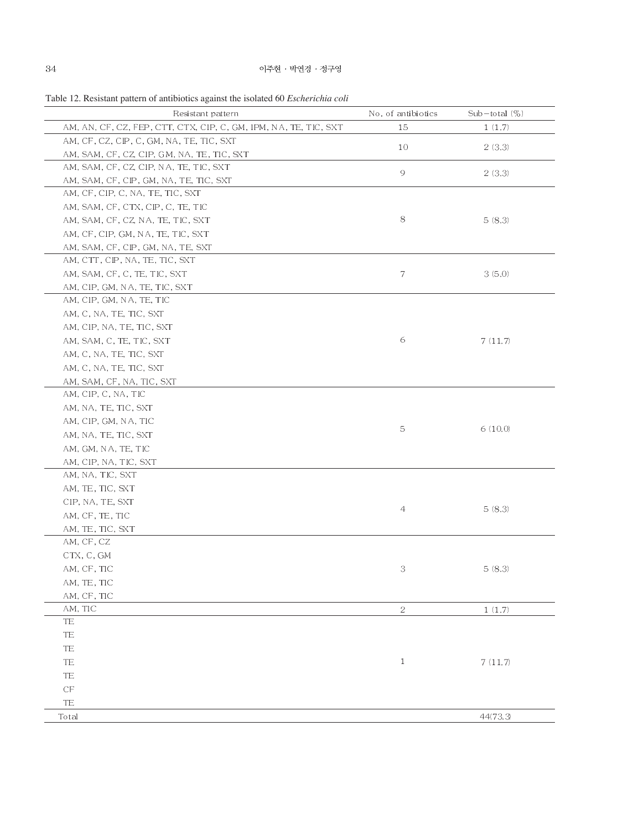|  |  | Table 12. Resistant pattern of antibiotics against the isolated 60 <i>Escherichia coli</i> |
|--|--|--------------------------------------------------------------------------------------------|
|  |  |                                                                                            |

| Resistant pattern                                                | No. of antibiotics | $Sub - total (\%)$ |
|------------------------------------------------------------------|--------------------|--------------------|
| AM, AN, CF, CZ, FEP, CTT, CTX, CIP, C, GM, IPM, NA, TE, TIC, SXT | 15                 | 1(1.7)             |
| AM, CF, CZ, CIP, C, GM, NA, TE, TIC, SXT                         |                    |                    |
| AM, SAM, CF, CZ, CIP, GM, NA, TE, TIC, SXT                       | 10                 | 2(3.3)             |
| AM, SAM, CF, CZ, CIP, NA, TE, TIC, SXT                           |                    |                    |
| AM, SAM, CF, CIP, GM, NA, TE, TIC, SXT                           | 9                  | 2(3,3)             |
| AM, CF, CIP, C, NA, TE, TIC, SXT                                 |                    |                    |
| AM, SAM, CF, CTX, CIP, C, TE, TIC                                |                    |                    |
| AM, SAM, CF, CZ, NA, TE, TIC, SXT                                | 8                  | 5(8.3)             |
| AM, CF, CIP, GM, NA, TE, TIC, SXT                                |                    |                    |
| AM, SAM, CF, CIP, GM, NA, TE, SXT                                |                    |                    |
| AM, CTT, CIP, NA, TE, TIC, SXT                                   |                    |                    |
| AM, SAM, CF, C, TE, TIC, SXT                                     | 7                  | 3(5,0)             |
| AM, CIP, GM, NA, TE, TIC, SXT                                    |                    |                    |
| AM, CIP, GM, NA, TE, TIC                                         |                    |                    |
| AM, C, NA, TE, TIC, SXT                                          |                    |                    |
| AM, CIP, NA, TE, TIC, SXT                                        |                    |                    |
| AM, SAM, C, TE, TIC, SXT                                         | 6                  | 7(11.7)            |
| AM, C, NA, TE, TIC, SXT                                          |                    |                    |
| AM, C, NA, TE, TIC, SXT                                          |                    |                    |
| AM, SAM, CF, NA, TIC, SXT                                        |                    |                    |
| AM, CIP, C, NA, TIC                                              |                    |                    |
| AM, NA, TE, TIC, SXT                                             |                    |                    |
| AM, CIP, GM, NA, TIC                                             | 5                  | 6(10,0)            |
| AM, NA, TE, TIC, SXT                                             |                    |                    |
| AM, GM, NA, TE, TIC                                              |                    |                    |
| AM, CIP, NA, TIC, SXT                                            |                    |                    |
| AM, NA, TIC, SXT                                                 |                    |                    |
| AM, TE, TIC, SXT                                                 |                    |                    |
| CIP, NA, TE, SXT                                                 |                    |                    |
| AM, CF, TE, TIC                                                  | 4                  | 5(8.3)             |
| AM, TE, TIC, SXT                                                 |                    |                    |
| AM, CF, CZ                                                       |                    |                    |
| CTX, C, GM                                                       |                    |                    |
| AM, CF, TIC                                                      | 3                  | 5(8.3)             |
| AM, TE, TIC                                                      |                    |                    |
| AM, CF, TIC                                                      |                    |                    |
| AM, TIC                                                          | $\sqrt{2}$         | 1(1.7)             |
| <b>TE</b>                                                        |                    |                    |
| TE                                                               |                    |                    |
| TE                                                               |                    |                    |
| TE                                                               | $\mathbf{1}$       | 7(11.7)            |
| TE                                                               |                    |                    |
| $\mathbb{C}\mathbb{F}$                                           |                    |                    |
| TE                                                               |                    |                    |
| Total                                                            |                    | 44(73.3)           |